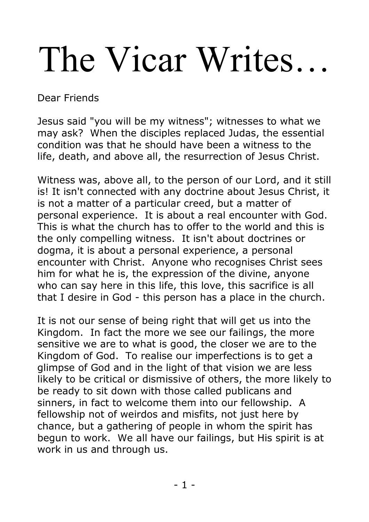# The Vicar Writes…

Dear Friends

Jesus said "you will be my witness"; witnesses to what we may ask? When the disciples replaced Judas, the essential condition was that he should have been a witness to the life, death, and above all, the resurrection of Jesus Christ.

Witness was, above all, to the person of our Lord, and it still is! It isn't connected with any doctrine about Jesus Christ, it is not a matter of a particular creed, but a matter of personal experience. It is about a real encounter with God. This is what the church has to offer to the world and this is the only compelling witness. It isn't about doctrines or dogma, it is about a personal experience, a personal encounter with Christ. Anyone who recognises Christ sees him for what he is, the expression of the divine, anyone who can say here in this life, this love, this sacrifice is all that I desire in God - this person has a place in the church.

It is not our sense of being right that will get us into the Kingdom. In fact the more we see our failings, the more sensitive we are to what is good, the closer we are to the Kingdom of God. To realise our imperfections is to get a glimpse of God and in the light of that vision we are less likely to be critical or dismissive of others, the more likely to be ready to sit down with those called publicans and sinners, in fact to welcome them into our fellowship. A fellowship not of weirdos and misfits, not just here by chance, but a gathering of people in whom the spirit has begun to work. We all have our failings, but His spirit is at work in us and through us.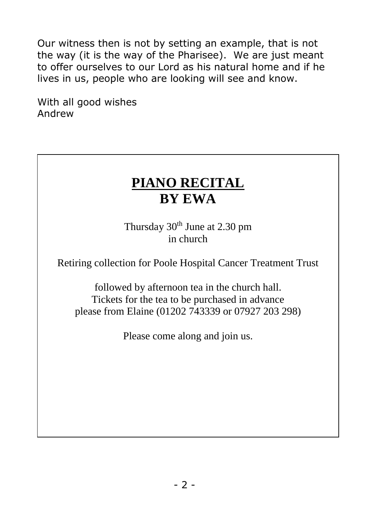Our witness then is not by setting an example, that is not the way (it is the way of the Pharisee). We are just meant to offer ourselves to our Lord as his natural home and if he lives in us, people who are looking will see and know.

With all good wishes Andrew

# **PIANO RECITAL BY EWA**

Thursday  $30<sup>th</sup>$  June at 2.30 pm in church

Retiring collection for Poole Hospital Cancer Treatment Trust

followed by afternoon tea in the church hall. Tickets for the tea to be purchased in advance please from Elaine (01202 743339 or 07927 203 298)

Please come along and join us.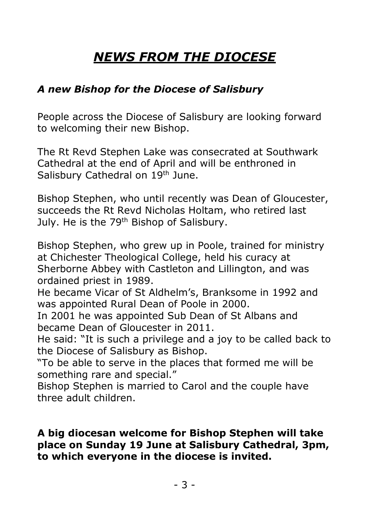# *NEWS FROM THE DIOCESE*

## *A new Bishop for the Diocese of Salisbury*

People across the Diocese of Salisbury are looking forward to welcoming their new Bishop.

The Rt Revd Stephen Lake was consecrated at Southwark Cathedral at the end of April and will be enthroned in Salisbury Cathedral on 19<sup>th</sup> June.

Bishop Stephen, who until recently was Dean of Gloucester, succeeds the Rt Revd Nicholas Holtam, who retired last July. He is the 79<sup>th</sup> Bishop of Salisbury.

Bishop Stephen, who grew up in Poole, trained for ministry at Chichester Theological College, held his curacy at Sherborne Abbey with Castleton and Lillington, and was ordained priest in 1989.

He became Vicar of St Aldhelm's, Branksome in 1992 and was appointed Rural Dean of Poole in 2000.

In 2001 he was appointed Sub Dean of St Albans and became Dean of Gloucester in 2011.

He said: "It is such a privilege and a joy to be called back to the Diocese of Salisbury as Bishop.

"To be able to serve in the places that formed me will be something rare and special."

Bishop Stephen is married to Carol and the couple have three adult children.

## **A big diocesan welcome for Bishop Stephen will take place on Sunday 19 June at Salisbury Cathedral, 3pm, to which everyone in the diocese is invited.**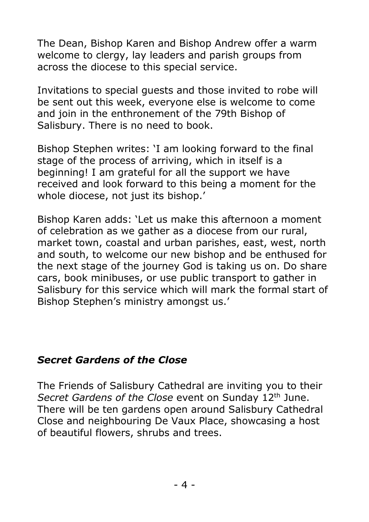The Dean, Bishop Karen and Bishop Andrew offer a warm welcome to clergy, lay leaders and parish groups from across the diocese to this special service.

Invitations to special guests and those invited to robe will be sent out this week, everyone else is welcome to come and join in the enthronement of the 79th Bishop of Salisbury. There is no need to book.

Bishop Stephen writes: 'I am looking forward to the final stage of the process of arriving, which in itself is a beginning! I am grateful for all the support we have received and look forward to this being a moment for the whole diocese, not just its bishop.'

Bishop Karen adds: 'Let us make this afternoon a moment of celebration as we gather as a diocese from our rural, market town, coastal and urban parishes, east, west, north and south, to welcome our new bishop and be enthused for the next stage of the journey God is taking us on. Do share cars, book minibuses, or use public transport to gather in Salisbury for this service which will mark the formal start of Bishop Stephen's ministry amongst us.'

## *Secret Gardens of the Close*

The Friends of Salisbury Cathedral are inviting you to their *Secret Gardens of the Close* event on Sunday 12<sup>th</sup> June. There will be ten gardens open around Salisbury Cathedral Close and neighbouring De Vaux Place, showcasing a host of beautiful flowers, shrubs and trees.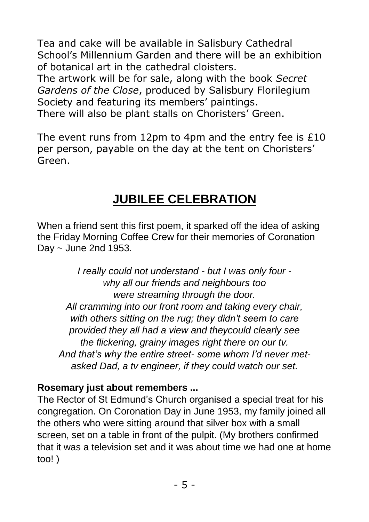Tea and cake will be available in Salisbury Cathedral School's Millennium Garden and there will be an exhibition of botanical art in the cathedral cloisters.

The artwork will be for sale, along with the book *Secret Gardens of the Close*, produced by Salisbury Florilegium Society and featuring its members' paintings. There will also be plant stalls on Choristers' Green.

The event runs from 12pm to 4pm and the entry fee is £10 per person, payable on the day at the tent on Choristers' Green.

## **JUBILEE CELEBRATION**

When a friend sent this first poem, it sparked off the idea of asking the Friday Morning Coffee Crew for their memories of Coronation Day ~ June 2nd 1953.

*I really could not understand - but I was only four why all our friends and neighbours too were streaming through the door. All cramming into our front room and taking every chair, with others sitting on the rug; they didn't seem to care provided they all had a view and theycould clearly see the flickering, grainy images right there on our tv. And that's why the entire street- some whom I'd never metasked Dad, a tv engineer, if they could watch our set.*

## **Rosemary just about remembers ...**

The Rector of St Edmund's Church organised a special treat for his congregation. On Coronation Day in June 1953, my family joined all the others who were sitting around that silver box with a small screen, set on a table in front of the pulpit. (My brothers confirmed that it was a television set and it was about time we had one at home too! )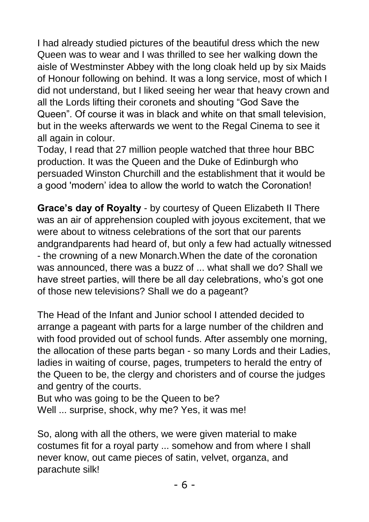I had already studied pictures of the beautiful dress which the new Queen was to wear and I was thrilled to see her walking down the aisle of Westminster Abbey with the long cloak held up by six Maids of Honour following on behind. It was a long service, most of which I did not understand, but I liked seeing her wear that heavy crown and all the Lords lifting their coronets and shouting "God Save the Queen". Of course it was in black and white on that small television, but in the weeks afterwards we went to the Regal Cinema to see it all again in colour.

Today, I read that 27 million people watched that three hour BBC production. It was the Queen and the Duke of Edinburgh who persuaded Winston Churchill and the establishment that it would be a good 'modern' idea to allow the world to watch the Coronation!

**Grace's day of Royalty** - by courtesy of Queen Elizabeth II There was an air of apprehension coupled with joyous excitement, that we were about to witness celebrations of the sort that our parents andgrandparents had heard of, but only a few had actually witnessed - the crowning of a new Monarch.When the date of the coronation was announced, there was a buzz of ... what shall we do? Shall we have street parties, will there be all day celebrations, who's got one of those new televisions? Shall we do a pageant?

The Head of the Infant and Junior school I attended decided to arrange a pageant with parts for a large number of the children and with food provided out of school funds. After assembly one morning, the allocation of these parts began - so many Lords and their Ladies, ladies in waiting of course, pages, trumpeters to herald the entry of the Queen to be, the clergy and choristers and of course the judges and gentry of the courts.

But who was going to be the Queen to be? Well ... surprise, shock, why me? Yes, it was me!

So, along with all the others, we were given material to make costumes fit for a royal party ... somehow and from where I shall never know, out came pieces of satin, velvet, organza, and parachute silk!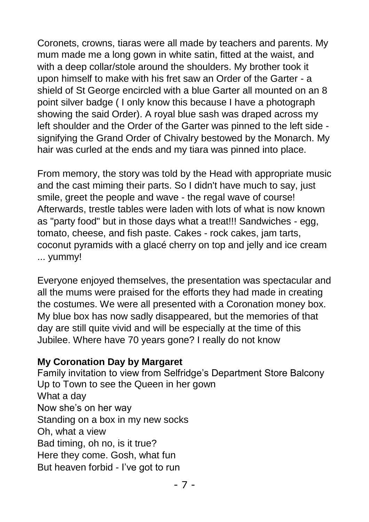Coronets, crowns, tiaras were all made by teachers and parents. My mum made me a long gown in white satin, fitted at the waist, and with a deep collar/stole around the shoulders. My brother took it upon himself to make with his fret saw an Order of the Garter - a shield of St George encircled with a blue Garter all mounted on an 8 point silver badge ( I only know this because I have a photograph showing the said Order). A royal blue sash was draped across my left shoulder and the Order of the Garter was pinned to the left side signifying the Grand Order of Chivalry bestowed by the Monarch. My hair was curled at the ends and my tiara was pinned into place.

From memory, the story was told by the Head with appropriate music and the cast miming their parts. So I didn't have much to say, just smile, greet the people and wave - the regal wave of course! Afterwards, trestle tables were laden with lots of what is now known as "party food" but in those days what a treat!!! Sandwiches - egg, tomato, cheese, and fish paste. Cakes - rock cakes, jam tarts, coconut pyramids with a glacé cherry on top and jelly and ice cream ... yummy!

Everyone enjoyed themselves, the presentation was spectacular and all the mums were praised for the efforts they had made in creating the costumes. We were all presented with a Coronation money box. My blue box has now sadly disappeared, but the memories of that day are still quite vivid and will be especially at the time of this Jubilee. Where have 70 years gone? I really do not know

## **My Coronation Day by Margaret**

Family invitation to view from Selfridge's Department Store Balcony Up to Town to see the Queen in her gown What a day Now she's on her way Standing on a box in my new socks Oh, what a view Bad timing, oh no, is it true? Here they come. Gosh, what fun But heaven forbid - I've got to run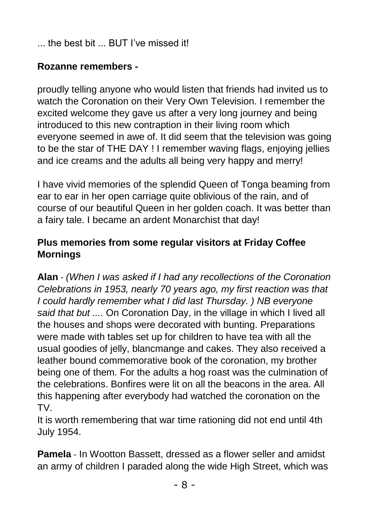the best bit ... BUT I've missed it!

## **Rozanne remembers -**

proudly telling anyone who would listen that friends had invited us to watch the Coronation on their Very Own Television. I remember the excited welcome they gave us after a very long journey and being introduced to this new contraption in their living room which everyone seemed in awe of. It did seem that the television was going to be the star of THE DAY ! I remember waving flags, enjoying jellies and ice creams and the adults all being very happy and merry!

I have vivid memories of the splendid Queen of Tonga beaming from ear to ear in her open carriage quite oblivious of the rain, and of course of our beautiful Queen in her golden coach. It was better than a fairy tale. I became an ardent Monarchist that day!

## **Plus memories from some regular visitors at Friday Coffee Mornings**

**Alan** - *(When I was asked if I had any recollections of the Coronation Celebrations in 1953, nearly 70 years ago, my first reaction was that I could hardly remember what I did last Thursday. ) NB everyone said that but ....* On Coronation Day, in the village in which I lived all the houses and shops were decorated with bunting. Preparations were made with tables set up for children to have tea with all the usual goodies of jelly, blancmange and cakes. They also received a leather bound commemorative book of the coronation, my brother being one of them. For the adults a hog roast was the culmination of the celebrations. Bonfires were lit on all the beacons in the area. All this happening after everybody had watched the coronation on the TV.

It is worth remembering that war time rationing did not end until 4th July 1954.

**Pamela** - In Wootton Bassett, dressed as a flower seller and amidst an army of children I paraded along the wide High Street, which was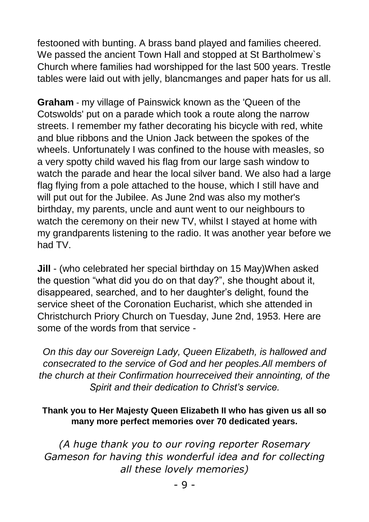festooned with bunting. A brass band played and families cheered. We passed the ancient Town Hall and stopped at St Bartholmew`s Church where families had worshipped for the last 500 years. Trestle tables were laid out with jelly, blancmanges and paper hats for us all.

**Graham** - my village of Painswick known as the 'Queen of the Cotswolds' put on a parade which took a route along the narrow streets. I remember my father decorating his bicycle with red, white and blue ribbons and the Union Jack between the spokes of the wheels. Unfortunately I was confined to the house with measles, so a very spotty child waved his flag from our large sash window to watch the parade and hear the local silver band. We also had a large flag flying from a pole attached to the house, which I still have and will put out for the Jubilee. As June 2nd was also my mother's birthday, my parents, uncle and aunt went to our neighbours to watch the ceremony on their new TV, whilst I stayed at home with my grandparents listening to the radio. It was another year before we had TV.

**Jill** - (who celebrated her special birthday on 15 May)When asked the question "what did you do on that day?", she thought about it, disappeared, searched, and to her daughter's delight, found the service sheet of the Coronation Eucharist, which she attended in Christchurch Priory Church on Tuesday, June 2nd, 1953. Here are some of the words from that service -

*On this day our Sovereign Lady, Queen Elizabeth, is hallowed and consecrated to the service of God and her peoples.All members of the church at their Confirmation hourreceived their annointing, of the Spirit and their dedication to Christ's service.*

#### **Thank you to Her Majesty Queen Elizabeth II who has given us all so many more perfect memories over 70 dedicated years.**

*(A huge thank you to our roving reporter Rosemary Gameson for having this wonderful idea and for collecting all these lovely memories)*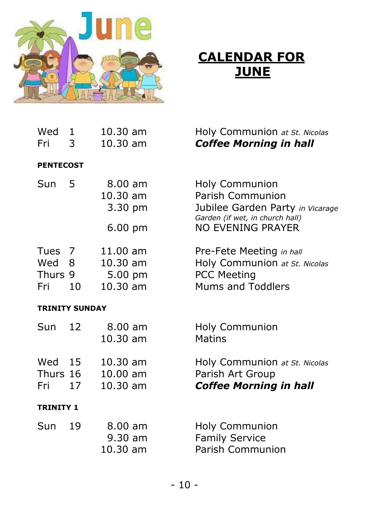

# **CALENDAR FOR JUNE**

| Wed<br>Fri                    | 1<br>3       | 10.30 am<br>10.30 am                          | Holy Communion at St. Nicolas<br><b>Coffee Morning in hall</b>                                                                                      |  |  |
|-------------------------------|--------------|-----------------------------------------------|-----------------------------------------------------------------------------------------------------------------------------------------------------|--|--|
| <b>PENTECOST</b>              |              |                                               |                                                                                                                                                     |  |  |
| Sun                           | 5            | $8.00$ am<br>10.30 am<br>3.30 pm<br>$6.00$ pm | <b>Holy Communion</b><br><b>Parish Communion</b><br>Jubilee Garden Party in Vicarage<br>Garden (if wet, in church hall)<br><b>NO EVENING PRAYER</b> |  |  |
| Tues<br>Wed<br>Thurs 9<br>Fri | 7<br>8<br>10 | 11.00 am<br>10.30 am<br>5.00 pm<br>$10.30$ am | Pre-Fete Meeting in hall<br>Holy Communion at St. Nicolas<br><b>PCC Meeting</b><br><b>Mums and Toddlers</b>                                         |  |  |
| <b>TRINITY SUNDAY</b>         |              |                                               |                                                                                                                                                     |  |  |
| Sun                           | 12           | $8.00$ am<br>$10.30$ am                       | <b>Holy Communion</b><br><b>Matins</b>                                                                                                              |  |  |
| Wed<br>Thurs 16<br>Fri        | 15<br>17     | $10.30$ am<br>$10.00$ am<br>$10.30$ am        | Holy Communion at St. Nicolas<br>Parish Art Group<br><b>Coffee Morning in hall</b>                                                                  |  |  |
| <b>TRINITY 1</b>              |              |                                               |                                                                                                                                                     |  |  |
| Sun                           | 19           | $8.00$ am<br>9.30 am<br>10.30 am              | <b>Holy Communion</b><br><b>Family Service</b><br><b>Parish Communion</b>                                                                           |  |  |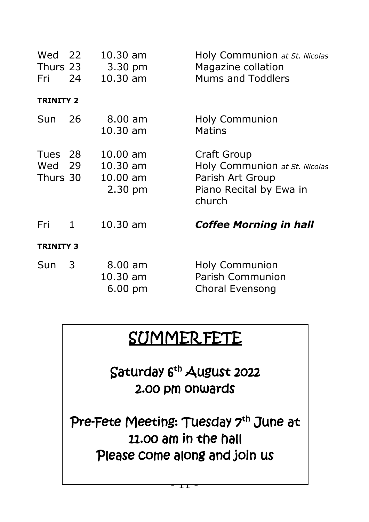| Wed 22<br>Thurs 23<br>Fri 24  |   | $10.30 \text{ am}$<br>3.30 pm<br>$10.30$ am                         | Holy Communion at St. Nicolas<br>Magazine collation<br><b>Mums and Toddlers</b>                       |  |  |
|-------------------------------|---|---------------------------------------------------------------------|-------------------------------------------------------------------------------------------------------|--|--|
| <b>TRINITY 2</b>              |   |                                                                     |                                                                                                       |  |  |
| Sun 26                        |   | $8.00$ am<br>$10.30$ am                                             | <b>Holy Communion</b><br><b>Matins</b>                                                                |  |  |
| Tues 28<br>Wed 29<br>Thurs 30 |   | $10.00 \text{ am}$<br>$10.30$ am<br>$10.00$ am<br>$2.30 \text{ pm}$ | Craft Group<br>Holy Communion at St. Nicolas<br>Parish Art Group<br>Piano Recital by Ewa in<br>church |  |  |
| Fri                           | 1 | $10.30$ am                                                          | <b>Coffee Morning in hall</b>                                                                         |  |  |
| <b>TRINITY 3</b>              |   |                                                                     |                                                                                                       |  |  |
| Sun                           | 3 | $8.00$ am<br>$10.30$ am<br>$6.00 \text{ pm}$                        | <b>Holy Communion</b><br>Parish Communion<br>Choral Evensong                                          |  |  |

# SUMMER FETE

Saturday 6th August 2022 2.00 pm onwards

Pre-Fete Meeting: Tuesday 7<sup>th</sup> June at 11.00 am in the hall Please come along and join us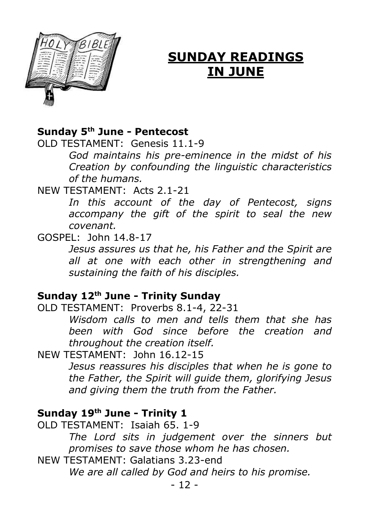

## **SUNDAY READINGS IN JUNE**

## **Sunday 5th June - Pentecost**

OLD TESTAMENT: Genesis 11.1-9

*God maintains his pre-eminence in the midst of his Creation by confounding the linguistic characteristics of the humans.*

NEW TESTAMENT: Acts 2.1-21

*In this account of the day of Pentecost, signs accompany the gift of the spirit to seal the new covenant.*

## GOSPEL: John 14.8-17

*Jesus assures us that he, his Father and the Spirit are all at one with each other in strengthening and sustaining the faith of his disciples.*

## **Sunday 12th June - Trinity Sunday**

OLD TESTAMENT: Proverbs 8.1-4, 22-31

*Wisdom calls to men and tells them that she has been with God since before the creation and throughout the creation itself.*

NEW TESTAMENT: John 16.12-15

*Jesus reassures his disciples that when he is gone to the Father, the Spirit will guide them, glorifying Jesus and giving them the truth from the Father.*

## **Sunday 19th June - Trinity 1**

OLD TESTAMENT: Isaiah 65. 1-9 *The Lord sits in judgement over the sinners but promises to save those whom he has chosen.*

NEW TESTAMENT: Galatians 3.23-end

*We are all called by God and heirs to his promise.*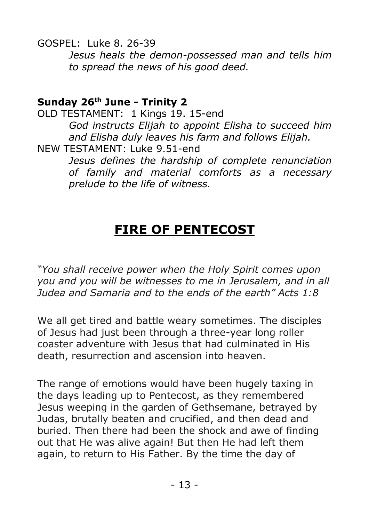GOSPEL: Luke 8. 26-39

*Jesus heals the demon-possessed man and tells him to spread the news of his good deed.*

## **Sunday 26th June - Trinity 2**

OLD TESTAMENT: 1 Kings 19. 15-end *God instructs Elijah to appoint Elisha to succeed him and Elisha duly leaves his farm and follows Elijah.* NEW TESTAMENT: Luke 9.51-end

*Jesus defines the hardship of complete renunciation of family and material comforts as a necessary prelude to the life of witness.*

## **FIRE OF PENTECOST**

*"You shall receive power when the Holy Spirit comes upon you and you will be witnesses to me in Jerusalem, and in all Judea and Samaria and to the ends of the earth" Acts 1:8*

We all get tired and battle weary sometimes. The disciples of Jesus had just been through a three-year long roller coaster adventure with Jesus that had culminated in His death, resurrection and ascension into heaven.

The range of emotions would have been hugely taxing in the days leading up to Pentecost, as they remembered Jesus weeping in the garden of Gethsemane, betrayed by Judas, brutally beaten and crucified, and then dead and buried. Then there had been the shock and awe of finding out that He was alive again! But then He had left them again, to return to His Father. By the time the day of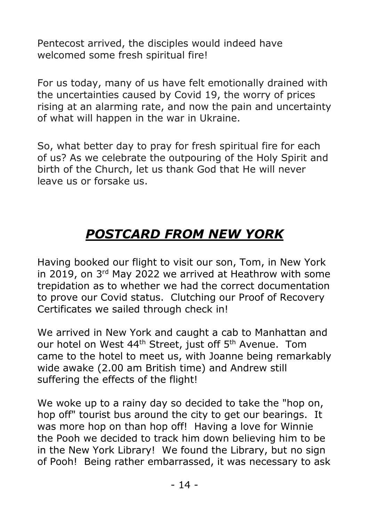Pentecost arrived, the disciples would indeed have welcomed some fresh spiritual fire!

For us today, many of us have felt emotionally drained with the uncertainties caused by Covid 19, the worry of prices rising at an alarming rate, and now the pain and uncertainty of what will happen in the war in Ukraine.

So, what better day to pray for fresh spiritual fire for each of us? As we celebrate the outpouring of the Holy Spirit and birth of the Church, let us thank God that He will never leave us or forsake us.

# *POSTCARD FROM NEW YORK*

Having booked our flight to visit our son, Tom, in New York in 2019, on 3rd May 2022 we arrived at Heathrow with some trepidation as to whether we had the correct documentation to prove our Covid status. Clutching our Proof of Recovery Certificates we sailed through check in!

We arrived in New York and caught a cab to Manhattan and our hotel on West 44<sup>th</sup> Street, just off 5<sup>th</sup> Avenue. Tom came to the hotel to meet us, with Joanne being remarkably wide awake (2.00 am British time) and Andrew still suffering the effects of the flight!

We woke up to a rainy day so decided to take the "hop on, hop off" tourist bus around the city to get our bearings. It was more hop on than hop off! Having a love for Winnie the Pooh we decided to track him down believing him to be in the New York Library! We found the Library, but no sign of Pooh! Being rather embarrassed, it was necessary to ask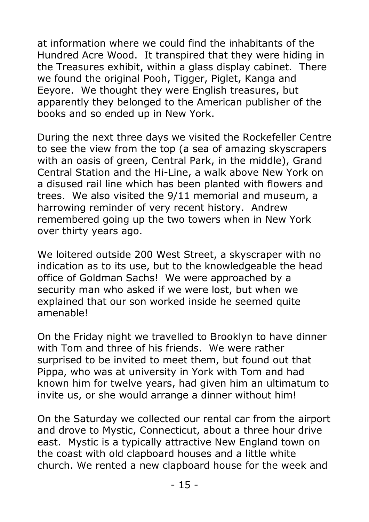at information where we could find the inhabitants of the Hundred Acre Wood. It transpired that they were hiding in the Treasures exhibit, within a glass display cabinet. There we found the original Pooh, Tigger, Piglet, Kanga and Eeyore. We thought they were English treasures, but apparently they belonged to the American publisher of the books and so ended up in New York.

During the next three days we visited the Rockefeller Centre to see the view from the top (a sea of amazing skyscrapers with an oasis of green, Central Park, in the middle), Grand Central Station and the Hi-Line, a walk above New York on a disused rail line which has been planted with flowers and trees. We also visited the 9/11 memorial and museum, a harrowing reminder of very recent history. Andrew remembered going up the two towers when in New York over thirty years ago.

We loitered outside 200 West Street, a skyscraper with no indication as to its use, but to the knowledgeable the head office of Goldman Sachs! We were approached by a security man who asked if we were lost, but when we explained that our son worked inside he seemed quite amenable!

On the Friday night we travelled to Brooklyn to have dinner with Tom and three of his friends. We were rather surprised to be invited to meet them, but found out that Pippa, who was at university in York with Tom and had known him for twelve years, had given him an ultimatum to invite us, or she would arrange a dinner without him!

On the Saturday we collected our rental car from the airport and drove to Mystic, Connecticut, about a three hour drive east. Mystic is a typically attractive New England town on the coast with old clapboard houses and a little white church. We rented a new clapboard house for the week and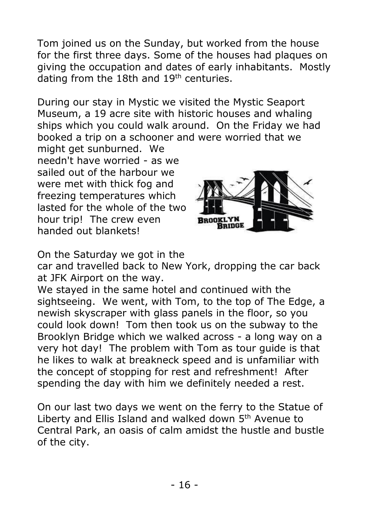Tom joined us on the Sunday, but worked from the house for the first three days. Some of the houses had plaques on giving the occupation and dates of early inhabitants. Mostly dating from the 18th and  $19<sup>th</sup>$  centuries.

During our stay in Mystic we visited the Mystic Seaport Museum, a 19 acre site with historic houses and whaling ships which you could walk around. On the Friday we had booked a trip on a schooner and were worried that we

might get sunburned. We needn't have worried - as we sailed out of the harbour we were met with thick fog and freezing temperatures which lasted for the whole of the two hour trip! The crew even handed out blankets!



On the Saturday we got in the

car and travelled back to New York, dropping the car back at JFK Airport on the way.

We stayed in the same hotel and continued with the sightseeing. We went, with Tom, to the top of The Edge, a newish skyscraper with glass panels in the floor, so you could look down! Tom then took us on the subway to the Brooklyn Bridge which we walked across - a long way on a very hot day! The problem with Tom as tour guide is that he likes to walk at breakneck speed and is unfamiliar with the concept of stopping for rest and refreshment! After spending the day with him we definitely needed a rest.

On our last two days we went on the ferry to the Statue of Liberty and Ellis Island and walked down 5<sup>th</sup> Avenue to Central Park, an oasis of calm amidst the hustle and bustle of the city.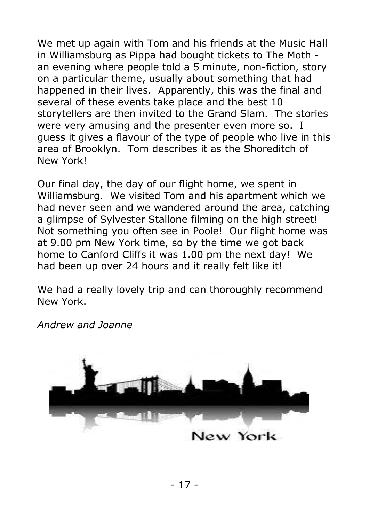We met up again with Tom and his friends at the Music Hall in Williamsburg as Pippa had bought tickets to The Moth an evening where people told a 5 minute, non-fiction, story on a particular theme, usually about something that had happened in their lives. Apparently, this was the final and several of these events take place and the best 10 storytellers are then invited to the Grand Slam. The stories were very amusing and the presenter even more so. I guess it gives a flavour of the type of people who live in this area of Brooklyn. Tom describes it as the Shoreditch of New York!

Our final day, the day of our flight home, we spent in Williamsburg. We visited Tom and his apartment which we had never seen and we wandered around the area, catching a glimpse of Sylvester Stallone filming on the high street! Not something you often see in Poole! Our flight home was at 9.00 pm New York time, so by the time we got back home to Canford Cliffs it was 1.00 pm the next day! We had been up over 24 hours and it really felt like it!

We had a really lovely trip and can thoroughly recommend New York.

*Andrew and Joanne*

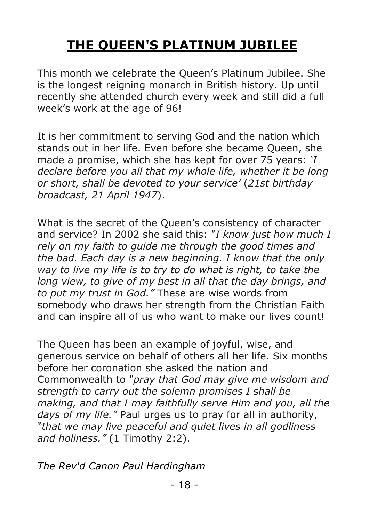# **THE QUEEN'S PLATINUM JUBILEE**

This month we celebrate the Queen's Platinum Jubilee. She is the longest reigning monarch in British history. Up until recently she attended church every week and still did a full week's work at the age of 96!

It is her commitment to serving God and the nation which stands out in her life. Even before she became Queen, she made a promise, which she has kept for over 75 years: *'I declare before you all that my whole life, whether it be long or short, shall be devoted to your service'* (*21st birthday broadcast, 21 April 1947*).

What is the secret of the Queen's consistency of character and service? In 2002 she said this: *"I know just how much I rely on my faith to guide me through the good times and the bad. Each day is a new beginning. I know that the only way to live my life is to try to do what is right, to take the long view, to give of my best in all that the day brings, and to put my trust in God."* These are wise words from somebody who draws her strength from the Christian Faith and can inspire all of us who want to make our lives count!

The Queen has been an example of joyful, wise, and generous service on behalf of others all her life. Six months before her coronation she asked the nation and Commonwealth to *"pray that God may give me wisdom and strength to carry out the solemn promises I shall be making, and that I may faithfully serve Him and you, all the days of my life."* Paul urges us to pray for all in authority, *"that we may live peaceful and quiet lives in all godliness and holiness."* (1 Timothy 2:2).

*The Rev'd Canon Paul Hardingham*